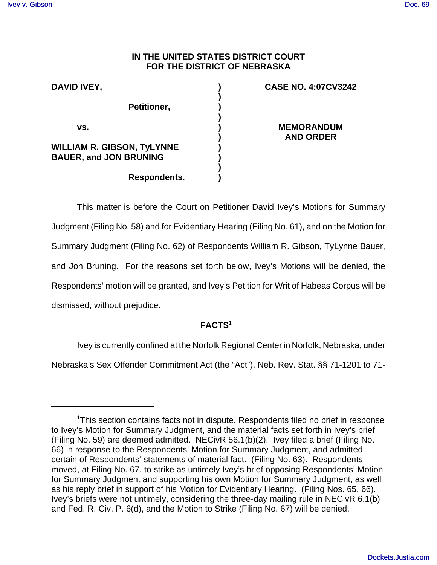## **IN THE UNITED STATES DISTRICT COURT FOR THE DISTRICT OF NEBRASKA**

**) ) ) ) ) ) ) ) ) )**

| DAVID IVEY,                   |                                   |  |
|-------------------------------|-----------------------------------|--|
|                               | Petitioner,                       |  |
| VS.                           |                                   |  |
| <b>BAUER, and JON BRUNING</b> | <b>WILLIAM R. GIBSON, TyLYNNE</b> |  |
|                               | Respondents.                      |  |

## **CASE NO. 4:07CV3242**

**MEMORANDUM AND ORDER**

This matter is before the Court on Petitioner David Ivey's Motions for Summary Judgment (Filing No. 58) and for Evidentiary Hearing (Filing No. 61), and on the Motion for Summary Judgment (Filing No. 62) of Respondents William R. Gibson, TyLynne Bauer, and Jon Bruning. For the reasons set forth below, Ivey's Motions will be denied, the Respondents' motion will be granted, and Ivey's Petition for Writ of Habeas Corpus will be dismissed, without prejudice.

# **FACTS1**

Ivey is currently confined at the Norfolk Regional Center in Norfolk, Nebraska, under

Nebraska's Sex Offender Commitment Act (the "Act"), Neb. Rev. Stat. §§ 71-1201 to 71-

<sup>&</sup>lt;sup>1</sup>This section contains facts not in dispute. Respondents filed no brief in response to Ivey's Motion for Summary Judgment, and the material facts set forth in Ivey's brief (Filing No. 59) are deemed admitted. NECivR 56.1(b)(2). Ivey filed a brief (Filing No. 66) in response to the Respondents' Motion for Summary Judgment, and admitted certain of Respondents' statements of material fact. (Filing No. 63). Respondents moved, at Filing No. 67, to strike as untimely Ivey's brief opposing Respondents' Motion for Summary Judgment and supporting his own Motion for Summary Judgment, as well as his reply brief in support of his Motion for Evidentiary Hearing. (Filing Nos. 65, 66). Ivey's briefs were not untimely, considering the three-day mailing rule in NECivR 6.1(b) and Fed. R. Civ. P. 6(d), and the Motion to Strike (Filing No. 67) will be denied.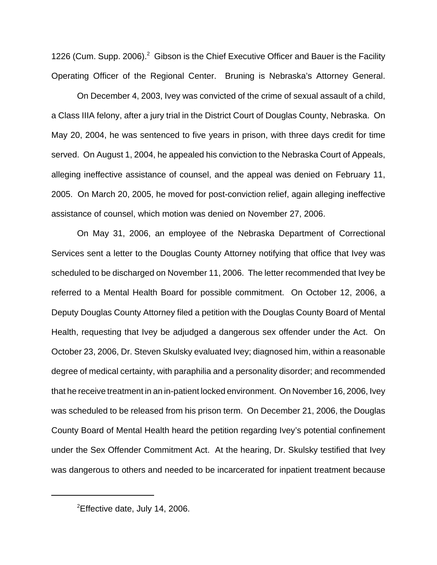1226 (Cum. Supp. 2006). $^2$  Gibson is the Chief Executive Officer and Bauer is the Facility Operating Officer of the Regional Center. Bruning is Nebraska's Attorney General.

On December 4, 2003, Ivey was convicted of the crime of sexual assault of a child, a Class IIIA felony, after a jury trial in the District Court of Douglas County, Nebraska. On May 20, 2004, he was sentenced to five years in prison, with three days credit for time served. On August 1, 2004, he appealed his conviction to the Nebraska Court of Appeals, alleging ineffective assistance of counsel, and the appeal was denied on February 11, 2005. On March 20, 2005, he moved for post-conviction relief, again alleging ineffective assistance of counsel, which motion was denied on November 27, 2006.

On May 31, 2006, an employee of the Nebraska Department of Correctional Services sent a letter to the Douglas County Attorney notifying that office that Ivey was scheduled to be discharged on November 11, 2006. The letter recommended that Ivey be referred to a Mental Health Board for possible commitment. On October 12, 2006, a Deputy Douglas County Attorney filed a petition with the Douglas County Board of Mental Health, requesting that Ivey be adjudged a dangerous sex offender under the Act. On October 23, 2006, Dr. Steven Skulsky evaluated Ivey; diagnosed him, within a reasonable degree of medical certainty, with paraphilia and a personality disorder; and recommended that he receive treatment in an in-patient locked environment. On November 16, 2006, Ivey was scheduled to be released from his prison term. On December 21, 2006, the Douglas County Board of Mental Health heard the petition regarding Ivey's potential confinement under the Sex Offender Commitment Act. At the hearing, Dr. Skulsky testified that Ivey was dangerous to others and needed to be incarcerated for inpatient treatment because

 $2$ Effective date, July 14, 2006.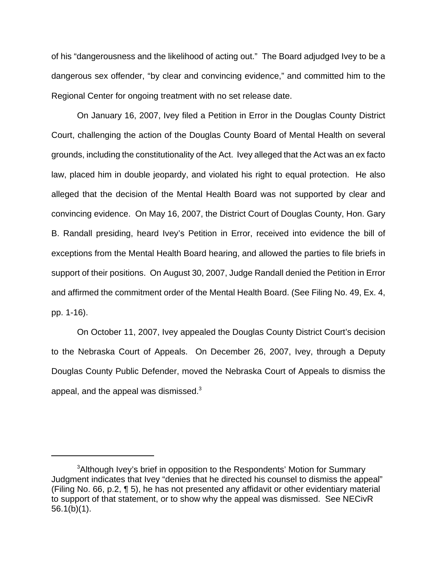of his "dangerousness and the likelihood of acting out." The Board adjudged Ivey to be a dangerous sex offender, "by clear and convincing evidence," and committed him to the Regional Center for ongoing treatment with no set release date.

On January 16, 2007, Ivey filed a Petition in Error in the Douglas County District Court, challenging the action of the Douglas County Board of Mental Health on several grounds, including the constitutionality of the Act. Ivey alleged that the Act was an ex facto law, placed him in double jeopardy, and violated his right to equal protection. He also alleged that the decision of the Mental Health Board was not supported by clear and convincing evidence. On May 16, 2007, the District Court of Douglas County, Hon. Gary B. Randall presiding, heard Ivey's Petition in Error, received into evidence the bill of exceptions from the Mental Health Board hearing, and allowed the parties to file briefs in support of their positions. On August 30, 2007, Judge Randall denied the Petition in Error and affirmed the commitment order of the Mental Health Board. (See Filing No. 49, Ex. 4, pp. 1-16).

On October 11, 2007, Ivey appealed the Douglas County District Court's decision to the Nebraska Court of Appeals. On December 26, 2007, Ivey, through a Deputy Douglas County Public Defender, moved the Nebraska Court of Appeals to dismiss the appeal, and the appeal was dismissed. $^3$ 

<sup>&</sup>lt;sup>3</sup>Although Ivey's brief in opposition to the Respondents' Motion for Summary Judgment indicates that Ivey "denies that he directed his counsel to dismiss the appeal" (Filing No. 66, p.2, ¶ 5), he has not presented any affidavit or other evidentiary material to support of that statement, or to show why the appeal was dismissed. See NECivR 56.1(b)(1).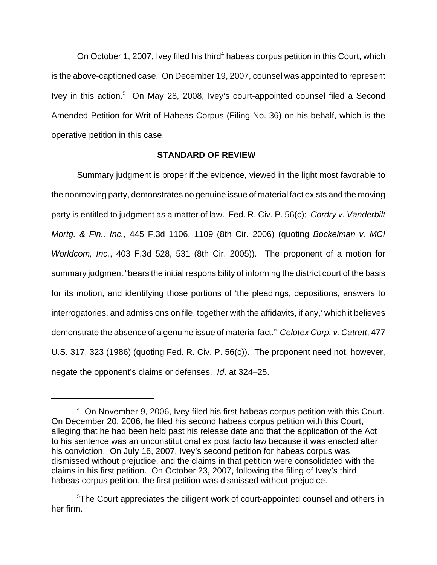On October 1, 2007, Ivey filed his third<sup>4</sup> habeas corpus petition in this Court, which is the above-captioned case. On December 19, 2007, counsel was appointed to represent Ivey in this action.<sup>5</sup> On May 28, 2008, Ivey's court-appointed counsel filed a Second Amended Petition for Writ of Habeas Corpus (Filing No. 36) on his behalf, which is the operative petition in this case.

#### **STANDARD OF REVIEW**

Summary judgment is proper if the evidence, viewed in the light most favorable to the nonmoving party, demonstrates no genuine issue of material fact exists and the moving party is entitled to judgment as a matter of law. Fed. R. Civ. P. 56(c); *Cordry v. Vanderbilt Mortg. & Fin., Inc.*, 445 F.3d 1106, 1109 (8th Cir. 2006) (quoting *Bockelman v. MCI Worldcom, Inc.*, 403 F.3d 528, 531 (8th Cir. 2005))*.* The proponent of a motion for summary judgment "bears the initial responsibility of informing the district court of the basis for its motion, and identifying those portions of 'the pleadings, depositions, answers to interrogatories, and admissions on file, together with the affidavits, if any,' which it believes demonstrate the absence of a genuine issue of material fact." *Celotex Corp. v. Catrett*, 477 U.S. 317, 323 (1986) (quoting Fed. R. Civ. P. 56(c)). The proponent need not, however, negate the opponent's claims or defenses. *Id*. at 324–25.

<sup>&</sup>lt;sup>4</sup> On November 9, 2006, Ivey filed his first habeas corpus petition with this Court. On December 20, 2006, he filed his second habeas corpus petition with this Court, alleging that he had been held past his release date and that the application of the Act to his sentence was an unconstitutional ex post facto law because it was enacted after his conviction. On July 16, 2007, Ivey's second petition for habeas corpus was dismissed without prejudice, and the claims in that petition were consolidated with the claims in his first petition. On October 23, 2007, following the filing of Ivey's third habeas corpus petition, the first petition was dismissed without prejudice.

<sup>&</sup>lt;sup>5</sup>The Court appreciates the diligent work of court-appointed counsel and others in her firm.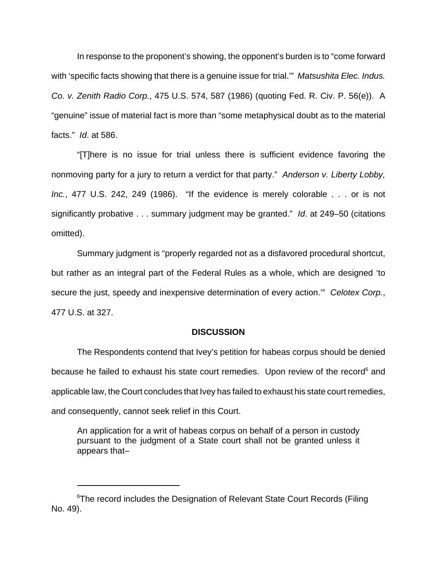In response to the proponent's showing, the opponent's burden is to "come forward with 'specific facts showing that there is a genuine issue for trial.'" *Matsushita Elec. Indus. Co. v. Zenith Radio Corp.*, 475 U.S. 574, 587 (1986) (quoting Fed. R. Civ. P. 56(e)). A "genuine" issue of material fact is more than "some metaphysical doubt as to the material facts." *Id*. at 586.

"[T]here is no issue for trial unless there is sufficient evidence favoring the nonmoving party for a jury to return a verdict for that party." *Anderson v. Liberty Lobby, Inc.*, 477 U.S. 242, 249 (1986). "If the evidence is merely colorable . . . or is not significantly probative . . . summary judgment may be granted." *Id*. at 249–50 (citations omitted).

Summary judgment is "properly regarded not as a disfavored procedural shortcut, but rather as an integral part of the Federal Rules as a whole, which are designed 'to secure the just, speedy and inexpensive determination of every action.'" *Celotex Corp.*, 477 U.S. at 327.

#### **DISCUSSION**

The Respondents contend that Ivey's petition for habeas corpus should be denied because he failed to exhaust his state court remedies. Upon review of the record<sup>6</sup> and applicable law, the Court concludes that Ivey has failed to exhaust his state court remedies, and consequently, cannot seek relief in this Court.

An application for a writ of habeas corpus on behalf of a person in custody pursuant to the judgment of a State court shall not be granted unless it appears that–

<sup>&</sup>lt;sup>6</sup>The record includes the Designation of Relevant State Court Records (Filing No. 49).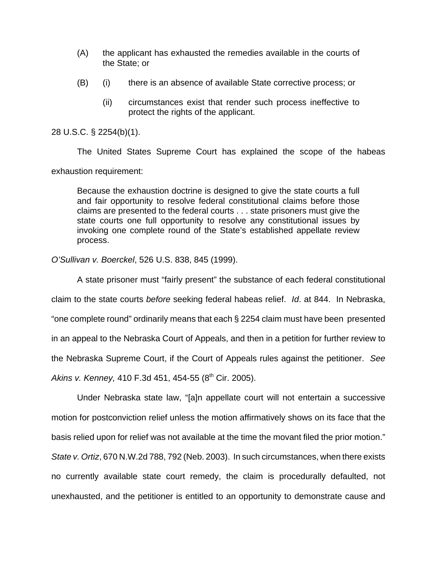- (A) the applicant has exhausted the remedies available in the courts of the State; or
- (B) (i) there is an absence of available State corrective process; or
	- (ii) circumstances exist that render such process ineffective to protect the rights of the applicant.

#### 28 U.S.C. § 2254(b)(1).

The United States Supreme Court has explained the scope of the habeas exhaustion requirement:

Because the exhaustion doctrine is designed to give the state courts a full and fair opportunity to resolve federal constitutional claims before those claims are presented to the federal courts . . . state prisoners must give the state courts one full opportunity to resolve any constitutional issues by invoking one complete round of the State's established appellate review process.

#### *O'Sullivan v. Boerckel*, 526 U.S. 838, 845 (1999).

A state prisoner must "fairly present" the substance of each federal constitutional claim to the state courts *before* seeking federal habeas relief. *Id*. at 844. In Nebraska, "one complete round" ordinarily means that each § 2254 claim must have been presented in an appeal to the Nebraska Court of Appeals, and then in a petition for further review to the Nebraska Supreme Court, if the Court of Appeals rules against the petitioner. *See Akins v. Kenney,* 410 F.3d 451, 454-55 (8<sup>th</sup> Cir. 2005).

Under Nebraska state law, "[a]n appellate court will not entertain a successive motion for postconviction relief unless the motion affirmatively shows on its face that the basis relied upon for relief was not available at the time the movant filed the prior motion." *State v. Ortiz*, 670 N.W.2d 788, 792 (Neb. 2003). In such circumstances, when there exists no currently available state court remedy, the claim is procedurally defaulted, not unexhausted, and the petitioner is entitled to an opportunity to demonstrate cause and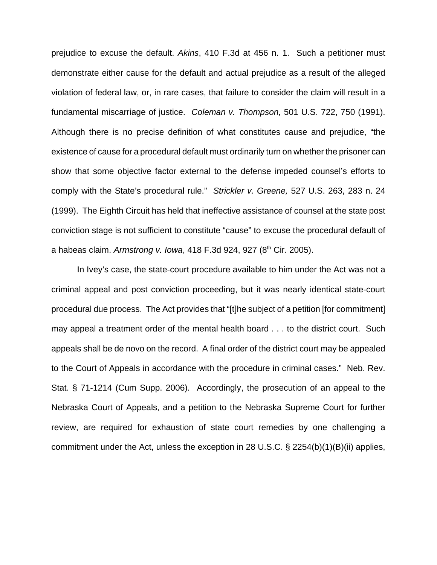prejudice to excuse the default. *Akins*, 410 F.3d at 456 n. 1. Such a petitioner must demonstrate either cause for the default and actual prejudice as a result of the alleged violation of federal law, or, in rare cases, that failure to consider the claim will result in a fundamental miscarriage of justice. *Coleman v. Thompson,* 501 U.S. 722, 750 (1991). Although there is no precise definition of what constitutes cause and prejudice, "the existence of cause for a procedural default must ordinarily turn on whether the prisoner can show that some objective factor external to the defense impeded counsel's efforts to comply with the State's procedural rule." *Strickler v. Greene,* 527 U.S. 263, 283 n. 24 (1999). The Eighth Circuit has held that ineffective assistance of counsel at the state post conviction stage is not sufficient to constitute "cause" to excuse the procedural default of a habeas claim. *Armstrong v. Iowa*, 418 F.3d 924, 927 (8<sup>th</sup> Cir. 2005).

In Ivey's case, the state-court procedure available to him under the Act was not a criminal appeal and post conviction proceeding, but it was nearly identical state-court procedural due process. The Act provides that "[t]he subject of a petition [for commitment] may appeal a treatment order of the mental health board . . . to the district court. Such appeals shall be de novo on the record. A final order of the district court may be appealed to the Court of Appeals in accordance with the procedure in criminal cases." Neb. Rev. Stat. § 71-1214 (Cum Supp. 2006). Accordingly, the prosecution of an appeal to the Nebraska Court of Appeals, and a petition to the Nebraska Supreme Court for further review, are required for exhaustion of state court remedies by one challenging a commitment under the Act, unless the exception in 28 U.S.C. § 2254(b)(1)(B)(ii) applies,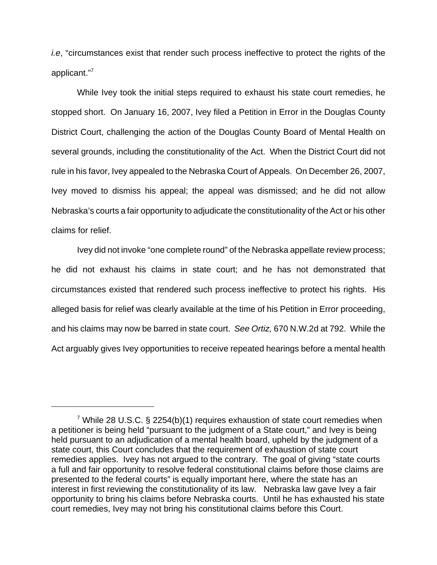*i.e*, "circumstances exist that render such process ineffective to protect the rights of the applicant."7

While Ivey took the initial steps required to exhaust his state court remedies, he stopped short. On January 16, 2007, Ivey filed a Petition in Error in the Douglas County District Court, challenging the action of the Douglas County Board of Mental Health on several grounds, including the constitutionality of the Act. When the District Court did not rule in his favor, Ivey appealed to the Nebraska Court of Appeals. On December 26, 2007, Ivey moved to dismiss his appeal; the appeal was dismissed; and he did not allow Nebraska's courts a fair opportunity to adjudicate the constitutionality of the Act or his other claims for relief.

Ivey did not invoke "one complete round" of the Nebraska appellate review process; he did not exhaust his claims in state court; and he has not demonstrated that circumstances existed that rendered such process ineffective to protect his rights. His alleged basis for relief was clearly available at the time of his Petition in Error proceeding, and his claims may now be barred in state court. *See Ortiz,* 670 N.W.2d at 792. While the Act arguably gives Ivey opportunities to receive repeated hearings before a mental health

<sup>&</sup>lt;sup>7</sup> While 28 U.S.C. § 2254(b)(1) requires exhaustion of state court remedies when a petitioner is being held "pursuant to the judgment of a State court," and Ivey is being held pursuant to an adjudication of a mental health board, upheld by the judgment of a state court, this Court concludes that the requirement of exhaustion of state court remedies applies. Ivey has not argued to the contrary. The goal of giving "state courts a full and fair opportunity to resolve federal constitutional claims before those claims are presented to the federal courts" is equally important here, where the state has an interest in first reviewing the constitutionality of its law. Nebraska law gave Ivey a fair opportunity to bring his claims before Nebraska courts. Until he has exhausted his state court remedies, Ivey may not bring his constitutional claims before this Court.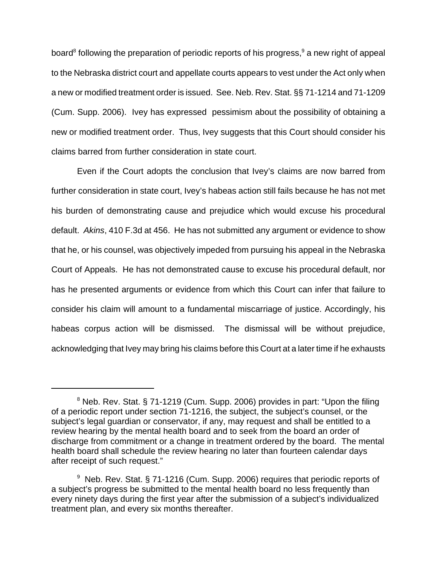board $^8$  following the preparation of periodic reports of his progress, $^9$  a new right of appeal to the Nebraska district court and appellate courts appears to vest under the Act only when a new or modified treatment order is issued. See. Neb. Rev. Stat. §§ 71-1214 and 71-1209 (Cum. Supp. 2006). Ivey has expressed pessimism about the possibility of obtaining a new or modified treatment order. Thus, Ivey suggests that this Court should consider his claims barred from further consideration in state court.

Even if the Court adopts the conclusion that Ivey's claims are now barred from further consideration in state court, Ivey's habeas action still fails because he has not met his burden of demonstrating cause and prejudice which would excuse his procedural default. *Akins*, 410 F.3d at 456. He has not submitted any argument or evidence to show that he, or his counsel, was objectively impeded from pursuing his appeal in the Nebraska Court of Appeals. He has not demonstrated cause to excuse his procedural default, nor has he presented arguments or evidence from which this Court can infer that failure to consider his claim will amount to a fundamental miscarriage of justice. Accordingly, his habeas corpus action will be dismissed. The dismissal will be without prejudice, acknowledging that Ivey may bring his claims before this Court at a later time if he exhausts

 $8$  Neb. Rev. Stat. § 71-1219 (Cum. Supp. 2006) provides in part: "Upon the filing of a periodic report under section 71-1216, the subject, the subject's counsel, or the subject's legal guardian or conservator, if any, may request and shall be entitled to a review hearing by the mental health board and to seek from the board an order of discharge from commitment or a change in treatment ordered by the board. The mental health board shall schedule the review hearing no later than fourteen calendar days after receipt of such request."

<sup>&</sup>lt;sup>9</sup> Neb. Rev. Stat. § 71-1216 (Cum. Supp. 2006) requires that periodic reports of a subject's progress be submitted to the mental health board no less frequently than every ninety days during the first year after the submission of a subject's individualized treatment plan, and every six months thereafter.